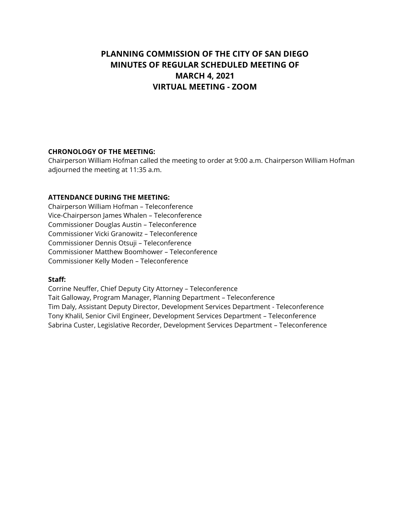# **PLANNING COMMISSION OF THE CITY OF SAN DIEGO MINUTES OF REGULAR SCHEDULED MEETING OF MARCH 4, 2021 VIRTUAL MEETING - ZOOM**

### **CHRONOLOGY OF THE MEETING:**

Chairperson William Hofman called the meeting to order at 9:00 a.m. Chairperson William Hofman adjourned the meeting at 11:35 a.m.

### **ATTENDANCE DURING THE MEETING:**

Chairperson William Hofman – Teleconference Vice-Chairperson James Whalen – Teleconference Commissioner Douglas Austin – Teleconference Commissioner Vicki Granowitz – Teleconference Commissioner Dennis Otsuji – Teleconference Commissioner Matthew Boomhower – Teleconference Commissioner Kelly Moden – Teleconference

### **Staff:**

Corrine Neuffer, Chief Deputy City Attorney – Teleconference Tait Galloway, Program Manager, Planning Department – Teleconference Tim Daly, Assistant Deputy Director, Development Services Department - Teleconference Tony Khalil, Senior Civil Engineer, Development Services Department – Teleconference Sabrina Custer, Legislative Recorder, Development Services Department – Teleconference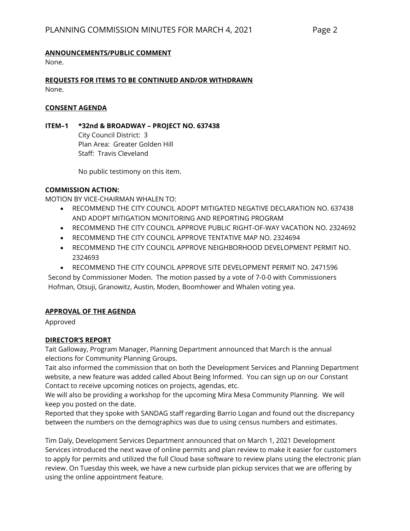# **ANNOUNCEMENTS/PUBLIC COMMENT**

None.

**REQUESTS FOR ITEMS TO BE CONTINUED AND/OR WITHDRAWN** None.

### **CONSENT AGENDA**

# **ITEM–1 \*32nd & BROADWAY – PROJECT NO. 637438**

City Council District: 3 Plan Area: Greater Golden Hill Staff: Travis Cleveland

No public testimony on this item.

# **COMMISSION ACTION:**

MOTION BY VICE-CHAIRMAN WHALEN TO:

- RECOMMEND THE CITY COUNCIL ADOPT MITIGATED NEGATIVE DECLARATION NO. 637438 AND ADOPT MITIGATION MONITORING AND REPORTING PROGRAM
- RECOMMEND THE CITY COUNCIL APPROVE PUBLIC RIGHT-OF-WAY VACATION NO. 2324692
- RECOMMEND THE CITY COUNCIL APPROVE TENTATIVE MAP NO. 2324694
- RECOMMEND THE CITY COUNCIL APPROVE NEIGHBORHOOD DEVELOPMENT PERMIT NO. 2324693
- RECOMMEND THE CITY COUNCIL APPROVE SITE DEVELOPMENT PERMIT NO. 2471596

Second by Commissioner Moden. The motion passed by a vote of 7-0-0 with Commissioners Hofman, Otsuji, Granowitz, Austin, Moden, Boomhower and Whalen voting yea.

# **APPROVAL OF THE AGENDA**

Approved

# **DIRECTOR'S REPORT**

Tait Galloway, Program Manager, Planning Department announced that March is the annual elections for Community Planning Groups.

Tait also informed the commission that on both the Development Services and Planning Department website, a new feature was added called About Being Informed. You can sign up on our Constant Contact to receive upcoming notices on projects, agendas, etc.

We will also be providing a workshop for the upcoming Mira Mesa Community Planning. We will keep you posted on the date.

Reported that they spoke with SANDAG staff regarding Barrio Logan and found out the discrepancy between the numbers on the demographics was due to using census numbers and estimates.

Tim Daly, Development Services Department announced that on March 1, 2021 Development Services introduced the next wave of online permits and plan review to make it easier for customers to apply for permits and utilized the full Cloud base software to review plans using the electronic plan review. On Tuesday this week, we have a new curbside plan pickup services that we are offering by using the online appointment feature.